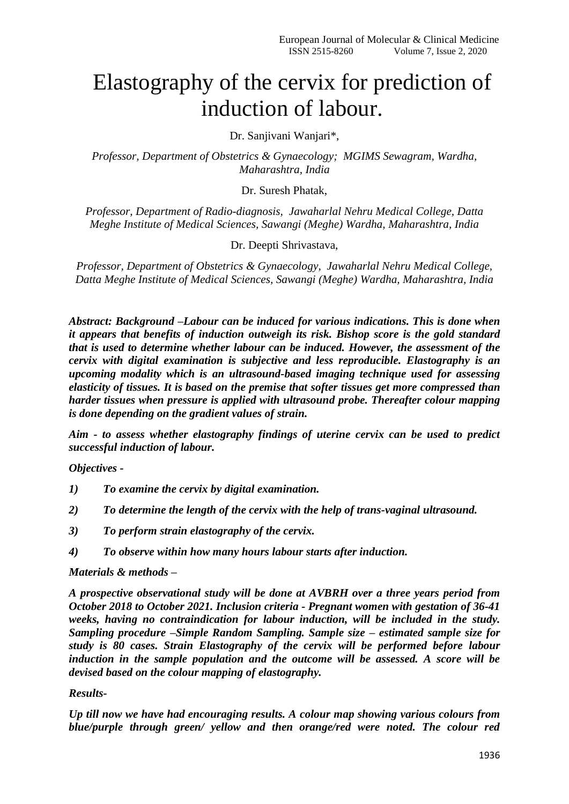# Elastography of the cervix for prediction of induction of labour.

Dr. Sanjivani Wanjari\*,

*Professor, Department of Obstetrics & Gynaecology; MGIMS Sewagram, Wardha, Maharashtra, India*

Dr. Suresh Phatak,

*Professor, Department of Radio-diagnosis, Jawaharlal Nehru Medical College, Datta Meghe Institute of Medical Sciences, Sawangi (Meghe) Wardha, Maharashtra, India*

Dr. Deepti Shrivastava,

*Professor, Department of Obstetrics & Gynaecology, Jawaharlal Nehru Medical College, Datta Meghe Institute of Medical Sciences, Sawangi (Meghe) Wardha, Maharashtra, India*

*Abstract: Background –Labour can be induced for various indications. This is done when it appears that benefits of induction outweigh its risk. Bishop score is the gold standard that is used to determine whether labour can be induced. However, the assessment of the cervix with digital examination is subjective and less reproducible. Elastography is an upcoming modality which is an ultrasound-based imaging technique used for assessing elasticity of tissues. It is based on the premise that softer tissues get more compressed than harder tissues when pressure is applied with ultrasound probe. Thereafter colour mapping is done depending on the gradient values of strain.* 

*Aim - to assess whether elastography findings of uterine cervix can be used to predict successful induction of labour.*

*Objectives -*

- *1) To examine the cervix by digital examination.*
- *2) To determine the length of the cervix with the help of trans-vaginal ultrasound.*
- *3) To perform strain elastography of the cervix.*
- *4) To observe within how many hours labour starts after induction.*

#### *Materials & methods –*

*A prospective observational study will be done at AVBRH over a three years period from October 2018 to October 2021. Inclusion criteria - Pregnant women with gestation of 36-41 weeks, having no contraindication for labour induction, will be included in the study. Sampling procedure –Simple Random Sampling. Sample size – estimated sample size for study is 80 cases. Strain Elastography of the cervix will be performed before labour induction in the sample population and the outcome will be assessed. A score will be devised based on the colour mapping of elastography.* 

#### *Results-*

*Up till now we have had encouraging results. A colour map showing various colours from blue/purple through green/ yellow and then orange/red were noted. The colour red*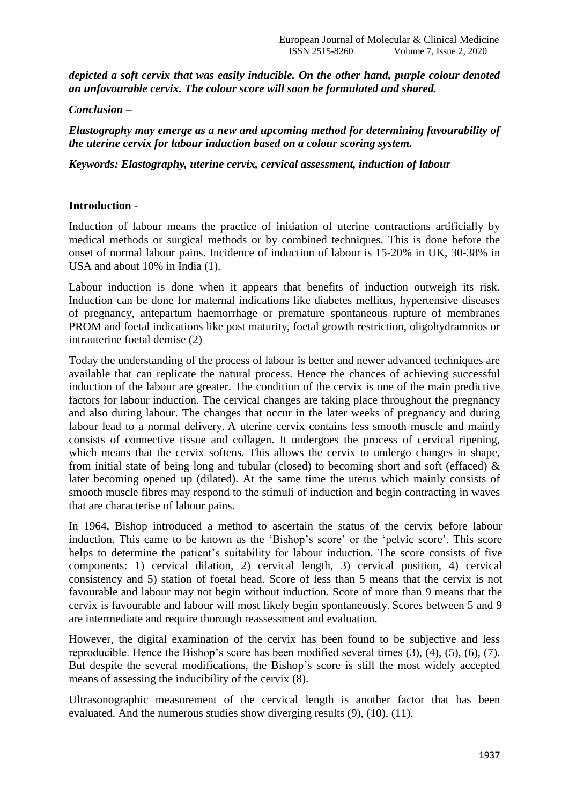*depicted a soft cervix that was easily inducible. On the other hand, purple colour denoted an unfavourable cervix. The colour score will soon be formulated and shared.* 

*Conclusion –*

*Elastography may emerge as a new and upcoming method for determining favourability of the uterine cervix for labour induction based on a colour scoring system.* 

*Keywords: Elastography, uterine cervix, cervical assessment, induction of labour*

## **Introduction** -

Induction of labour means the practice of initiation of uterine contractions artificially by medical methods or surgical methods or by combined techniques. This is done before the onset of normal labour pains. Incidence of induction of labour is 15-20% in UK, 30-38% in USA and about 10% in India (1).

Labour induction is done when it appears that benefits of induction outweigh its risk. Induction can be done for maternal indications like diabetes mellitus, hypertensive diseases of pregnancy, antepartum haemorrhage or premature spontaneous rupture of membranes PROM and foetal indications like post maturity, foetal growth restriction, oligohydramnios or intrauterine foetal demise (2)

Today the understanding of the process of labour is better and newer advanced techniques are available that can replicate the natural process. Hence the chances of achieving successful induction of the labour are greater. The condition of the cervix is one of the main predictive factors for labour induction. The cervical changes are taking place throughout the pregnancy and also during labour. The changes that occur in the later weeks of pregnancy and during labour lead to a normal delivery. A uterine cervix contains less smooth muscle and mainly consists of connective tissue and collagen. It undergoes the process of cervical ripening, which means that the cervix softens. This allows the cervix to undergo changes in shape, from initial state of being long and tubular (closed) to becoming short and soft (effaced)  $\&$ later becoming opened up (dilated). At the same time the uterus which mainly consists of smooth muscle fibres may respond to the stimuli of induction and begin contracting in waves that are characterise of labour pains.

In 1964, Bishop introduced a method to ascertain the status of the cervix before labour induction. This came to be known as the 'Bishop's score' or the 'pelvic score'. This score helps to determine the patient's suitability for labour induction. The score consists of five components: 1) cervical dilation, 2) cervical length, 3) cervical position, 4) cervical consistency and 5) station of foetal head. Score of less than 5 means that the cervix is not favourable and labour may not begin without induction. Score of more than 9 means that the cervix is favourable and labour will most likely begin spontaneously. Scores between 5 and 9 are intermediate and require thorough reassessment and evaluation.

However, the digital examination of the cervix has been found to be subjective and less reproducible. Hence the Bishop"s score has been modified several times (3), (4), (5), (6), (7). But despite the several modifications, the Bishop"s score is still the most widely accepted means of assessing the inducibility of the cervix (8).

Ultrasonographic measurement of the cervical length is another factor that has been evaluated. And the numerous studies show diverging results (9), (10), (11).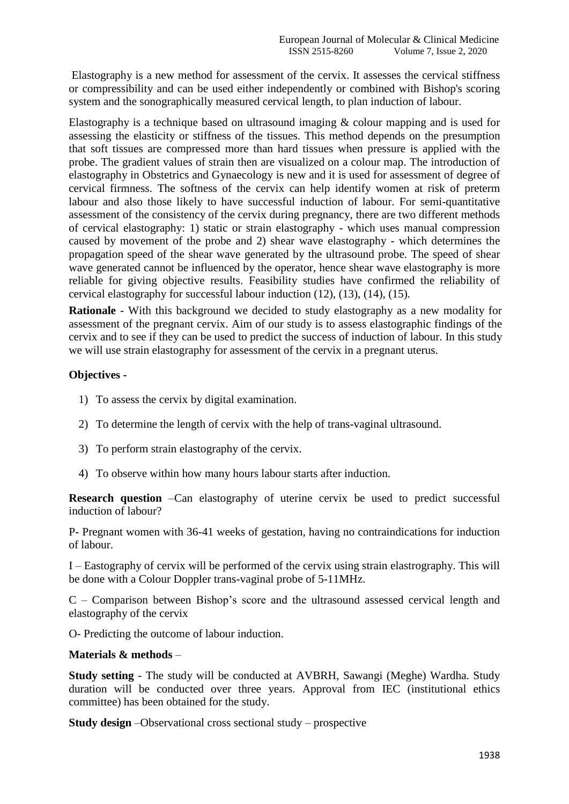Elastography is a new method for assessment of the cervix. It assesses the cervical stiffness or compressibility and can be used either independently or combined with Bishop's scoring system and the sonographically measured cervical length, to plan induction of labour.

Elastography is a technique based on ultrasound imaging  $\&$  colour mapping and is used for assessing the elasticity or stiffness of the tissues. This method depends on the presumption that soft tissues are compressed more than hard tissues when pressure is applied with the probe. The gradient values of strain then are visualized on a colour map. The introduction of elastography in Obstetrics and Gynaecology is new and it is used for assessment of degree of cervical firmness. The softness of the cervix can help identify women at risk of preterm labour and also those likely to have successful induction of labour. For semi-quantitative assessment of the consistency of the cervix during pregnancy, there are two different methods of cervical elastography: 1) static or strain elastography - which uses manual compression caused by movement of the probe and 2) shear wave elastography - which determines the propagation speed of the shear wave generated by the ultrasound probe. The speed of shear wave generated cannot be influenced by the operator, hence shear wave elastography is more reliable for giving objective results. Feasibility studies have confirmed the reliability of cervical elastography for successful labour induction (12), (13), (14), (15).

**Rationale** - With this background we decided to study elastography as a new modality for assessment of the pregnant cervix. Aim of our study is to assess elastographic findings of the cervix and to see if they can be used to predict the success of induction of labour. In this study we will use strain elastography for assessment of the cervix in a pregnant uterus.

## **Objectives -**

- 1) To assess the cervix by digital examination.
- 2) To determine the length of cervix with the help of trans-vaginal ultrasound.
- 3) To perform strain elastography of the cervix.
- 4) To observe within how many hours labour starts after induction.

**Research question** –Can elastography of uterine cervix be used to predict successful induction of labour?

P- Pregnant women with 36-41 weeks of gestation, having no contraindications for induction of labour.

I – Eastography of cervix will be performed of the cervix using strain elastrography. This will be done with a Colour Doppler trans-vaginal probe of 5-11MHz.

C – Comparison between Bishop"s score and the ultrasound assessed cervical length and elastography of the cervix

O- Predicting the outcome of labour induction.

## **Materials & methods** –

**Study setting** - The study will be conducted at AVBRH, Sawangi (Meghe) Wardha. Study duration will be conducted over three years. Approval from IEC (institutional ethics committee) has been obtained for the study.

**Study design** –Observational cross sectional study – prospective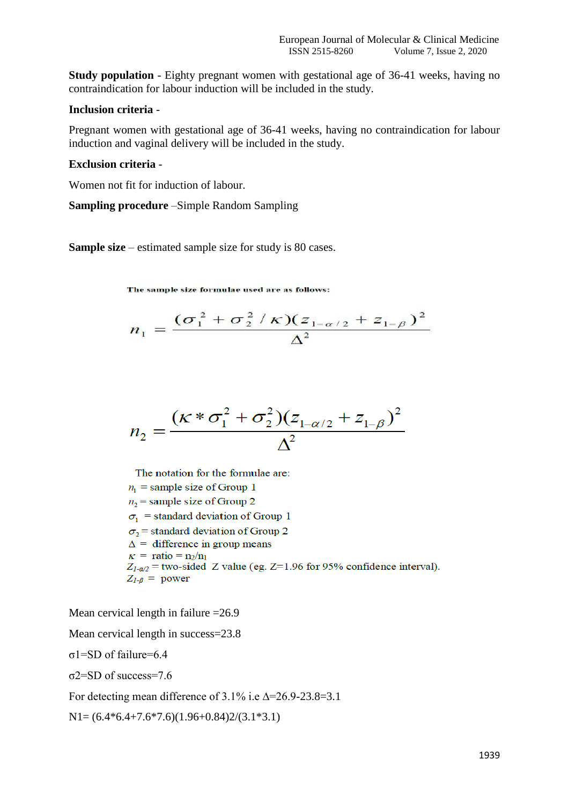**Study population** - Eighty pregnant women with gestational age of 36-41 weeks, having no contraindication for labour induction will be included in the study.

#### **Inclusion criteria** -

Pregnant women with gestational age of 36-41 weeks, having no contraindication for labour induction and vaginal delivery will be included in the study.

#### **Exclusion criteria** -

Women not fit for induction of labour.

**Sampling procedure** –Simple Random Sampling

**Sample size** – estimated sample size for study is 80 cases.

The sample size formulae used are as follows:

$$
n_1 = \frac{(\sigma_1^2 + \sigma_2^2 / \kappa)(z_{1-\alpha/2} + z_{1-\beta})^2}{\Delta^2}
$$

$$
n_2 = \frac{(\kappa * \sigma_1^2 + \sigma_2^2)(z_{1-\alpha/2} + z_{1-\beta})^2}{\Delta^2}
$$

The notation for the formulae are:  $n_1$  = sample size of Group 1  $n_2$  = sample size of Group 2  $\sigma_1$  = standard deviation of Group 1

 $\sigma_2$  = standard deviation of Group 2

 $\Delta$  = difference in group means

$$
\kappa = \text{ratio} = \frac{n_2}{n_1}
$$

$$
Z_{1-\alpha/2}
$$
 = two-sided Z value (eg. Z=1.96 for 95% confidence interval).  
 $Z_{1-\beta}$  = power

Mean cervical length in failure =26.9

Mean cervical length in success=23.8

σ1=SD of failure=6.4

σ2=SD of success=7.6

For detecting mean difference of  $3.1\%$  i.e  $\Delta = 26.9-23.8=3.1$ 

 $N1=(6.4*6.4+7.6*7.6)(1.96+0.84)2/(3.1*3.1)$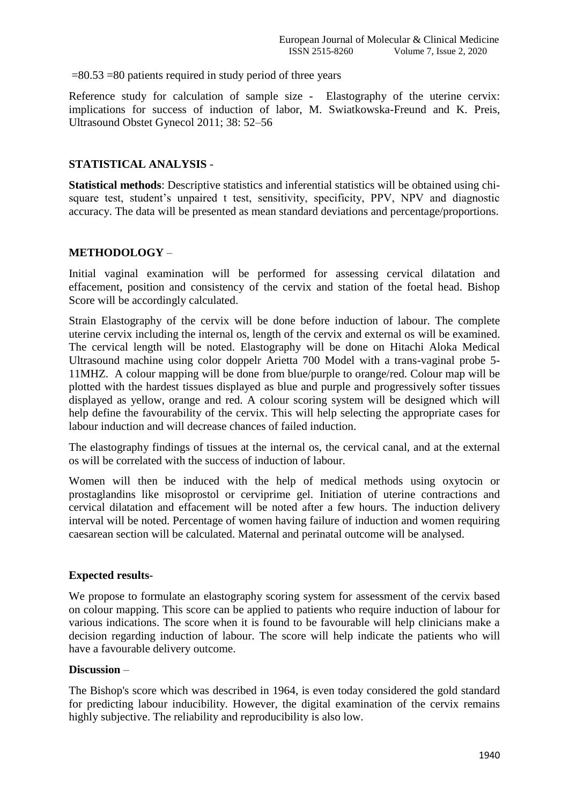$=80.53 = 80$  patients required in study period of three years

Reference study for calculation of sample size - Elastography of the uterine cervix: implications for success of induction of labor, M. Swiatkowska-Freund and K. Preis, Ultrasound Obstet Gynecol 2011; 38: 52–56

## **STATISTICAL ANALYSIS** -

**Statistical methods**: Descriptive statistics and inferential statistics will be obtained using chisquare test, student's unpaired t test, sensitivity, specificity, PPV, NPV and diagnostic accuracy. The data will be presented as mean standard deviations and percentage/proportions.

## **METHODOLOGY** –

Initial vaginal examination will be performed for assessing cervical dilatation and effacement, position and consistency of the cervix and station of the foetal head. Bishop Score will be accordingly calculated.

Strain Elastography of the cervix will be done before induction of labour. The complete uterine cervix including the internal os, length of the cervix and external os will be examined. The cervical length will be noted. Elastography will be done on Hitachi Aloka Medical Ultrasound machine using color doppelr Arietta 700 Model with a trans-vaginal probe 5- 11MHZ. A colour mapping will be done from blue/purple to orange/red. Colour map will be plotted with the hardest tissues displayed as blue and purple and progressively softer tissues displayed as yellow, orange and red. A colour scoring system will be designed which will help define the favourability of the cervix. This will help selecting the appropriate cases for labour induction and will decrease chances of failed induction.

The elastography findings of tissues at the internal os, the cervical canal, and at the external os will be correlated with the success of induction of labour.

Women will then be induced with the help of medical methods using oxytocin or prostaglandins like misoprostol or cerviprime gel. Initiation of uterine contractions and cervical dilatation and effacement will be noted after a few hours. The induction delivery interval will be noted. Percentage of women having failure of induction and women requiring caesarean section will be calculated. Maternal and perinatal outcome will be analysed.

## **Expected results**-

We propose to formulate an elastography scoring system for assessment of the cervix based on colour mapping. This score can be applied to patients who require induction of labour for various indications. The score when it is found to be favourable will help clinicians make a decision regarding induction of labour. The score will help indicate the patients who will have a favourable delivery outcome.

#### **Discussion** –

The Bishop's score which was described in 1964, is even today considered the gold standard for predicting labour inducibility. However, the digital examination of the cervix remains highly subjective. The reliability and reproducibility is also low.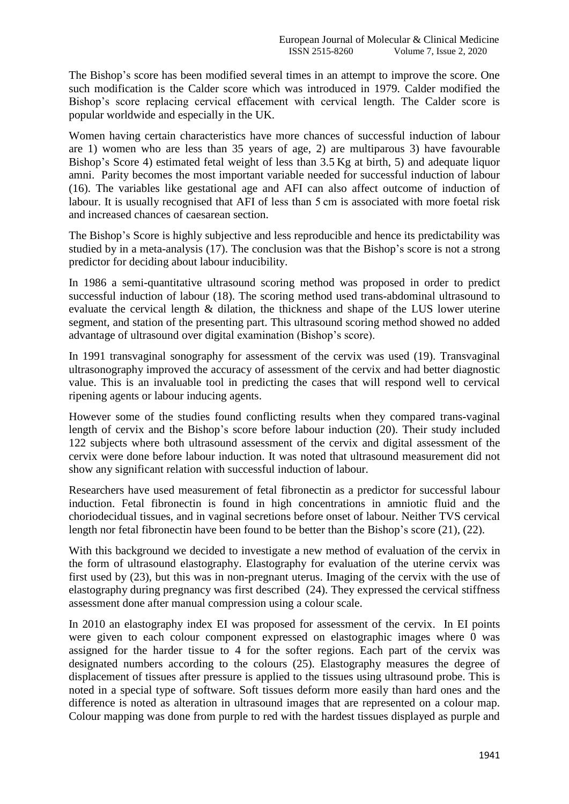The Bishop's score has been modified several times in an attempt to improve the score. One such modification is the Calder score which was introduced in 1979. Calder modified the Bishop's score replacing cervical effacement with cervical length. The Calder score is popular worldwide and especially in the UK.

Women having certain characteristics have more chances of successful induction of labour are 1) women who are less than 35 years of age, 2) are multiparous 3) have favourable Bishop's Score 4) estimated fetal weight of less than  $3.5$  Kg at birth, 5) and adequate liquor amni. Parity becomes the most important variable needed for successful induction of labour (16). The variables like gestational age and AFI can also affect outcome of induction of labour. It is usually recognised that AFI of less than 5 cm is associated with more foetal risk and increased chances of caesarean section.

The Bishop"s Score is highly subjective and less reproducible and hence its predictability was studied by in a meta-analysis (17). The conclusion was that the Bishop's score is not a strong predictor for deciding about labour inducibility.

In 1986 a semi-quantitative ultrasound scoring method was proposed in order to predict successful induction of labour (18). The scoring method used trans-abdominal ultrasound to evaluate the cervical length & dilation, the thickness and shape of the LUS lower uterine segment, and station of the presenting part. This ultrasound scoring method showed no added advantage of ultrasound over digital examination (Bishop's score).

In 1991 transvaginal sonography for assessment of the cervix was used (19). Transvaginal ultrasonography improved the accuracy of assessment of the cervix and had better diagnostic value. This is an invaluable tool in predicting the cases that will respond well to cervical ripening agents or labour inducing agents.

However some of the studies found conflicting results when they compared trans-vaginal length of cervix and the Bishop"s score before labour induction (20). Their study included 122 subjects where both ultrasound assessment of the cervix and digital assessment of the cervix were done before labour induction. It was noted that ultrasound measurement did not show any significant relation with successful induction of labour.

Researchers have used measurement of fetal fibronectin as a predictor for successful labour induction. Fetal fibronectin is found in high concentrations in amniotic fluid and the choriodecidual tissues, and in vaginal secretions before onset of labour. Neither TVS cervical length nor fetal fibronectin have been found to be better than the Bishop's score (21), (22).

With this background we decided to investigate a new method of evaluation of the cervix in the form of ultrasound elastography. Elastography for evaluation of the uterine cervix was first used by (23), but this was in non-pregnant uterus. Imaging of the cervix with the use of elastography during pregnancy was first described (24). They expressed the cervical stiffness assessment done after manual compression using a colour scale.

In 2010 an elastography index EI was proposed for assessment of the cervix. In EI points were given to each colour component expressed on elastographic images where 0 was assigned for the harder tissue to 4 for the softer regions. Each part of the cervix was designated numbers according to the colours (25). Elastography measures the degree of displacement of tissues after pressure is applied to the tissues using ultrasound probe. This is noted in a special type of software. Soft tissues deform more easily than hard ones and the difference is noted as alteration in ultrasound images that are represented on a colour map. Colour mapping was done from purple to red with the hardest tissues displayed as purple and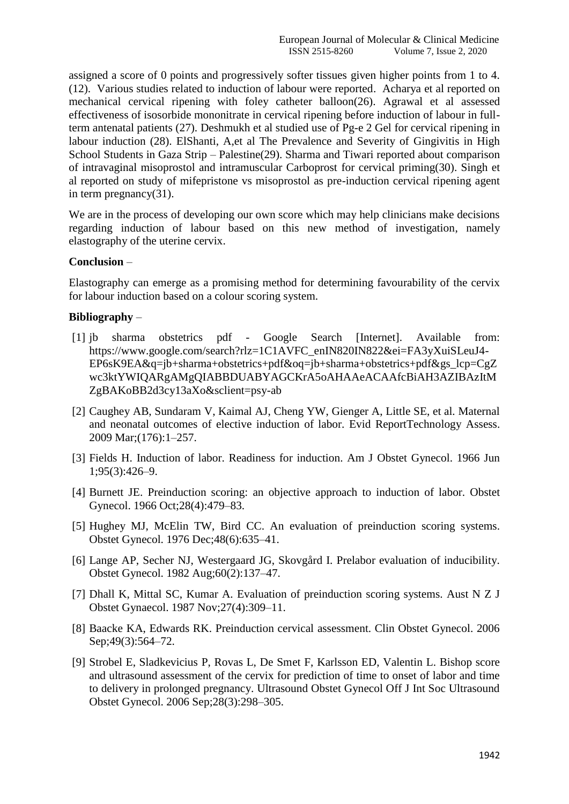assigned a score of 0 points and progressively softer tissues given higher points from 1 to 4. (12). Various studies related to induction of labour were reported. Acharya et al reported on mechanical cervical ripening with foley catheter balloon(26). Agrawal et al assessed effectiveness of isosorbide mononitrate in cervical ripening before induction of labour in fullterm antenatal patients (27). Deshmukh et al studied use of Pg-e 2 Gel for cervical ripening in labour induction (28). ElShanti, A,et al The Prevalence and Severity of Gingivitis in High School Students in Gaza Strip – Palestine(29). Sharma and Tiwari reported about comparison of intravaginal misoprostol and intramuscular Carboprost for cervical priming(30). Singh et al reported on study of mifepristone vs misoprostol as pre-induction cervical ripening agent in term pregnancy(31).

We are in the process of developing our own score which may help clinicians make decisions regarding induction of labour based on this new method of investigation, namely elastography of the uterine cervix.

#### **Conclusion** –

Elastography can emerge as a promising method for determining favourability of the cervix for labour induction based on a colour scoring system.

## **Bibliography** –

- [1] jb sharma obstetrics pdf Google Search [Internet]. Available from: https://www.google.com/search?rlz=1C1AVFC\_enIN820IN822&ei=FA3yXuiSLeuJ4- EP6sK9EA&q=jb+sharma+obstetrics+pdf&oq=jb+sharma+obstetrics+pdf&gs\_lcp=CgZ wc3ktYWIQARgAMgQIABBDUABYAGCKrA5oAHAAeACAAfcBiAH3AZIBAzItM ZgBAKoBB2d3cy13aXo&sclient=psy-ab
- [2] Caughey AB, Sundaram V, Kaimal AJ, Cheng YW, Gienger A, Little SE, et al. Maternal and neonatal outcomes of elective induction of labor. Evid ReportTechnology Assess. 2009 Mar;(176):1–257.
- [3] Fields H. Induction of labor. Readiness for induction. Am J Obstet Gynecol. 1966 Jun 1;95(3):426–9.
- [4] Burnett JE. Preinduction scoring: an objective approach to induction of labor. Obstet Gynecol. 1966 Oct;28(4):479–83.
- [5] Hughey MJ, McElin TW, Bird CC. An evaluation of preinduction scoring systems. Obstet Gynecol. 1976 Dec;48(6):635–41.
- [6] Lange AP, Secher NJ, Westergaard JG, Skovgård I. Prelabor evaluation of inducibility. Obstet Gynecol. 1982 Aug;60(2):137–47.
- [7] Dhall K, Mittal SC, Kumar A. Evaluation of preinduction scoring systems. Aust N Z J Obstet Gynaecol. 1987 Nov;27(4):309–11.
- [8] Baacke KA, Edwards RK. Preinduction cervical assessment. Clin Obstet Gynecol. 2006 Sep; 49(3): 564–72.
- [9] Strobel E, Sladkevicius P, Rovas L, De Smet F, Karlsson ED, Valentin L. Bishop score and ultrasound assessment of the cervix for prediction of time to onset of labor and time to delivery in prolonged pregnancy. Ultrasound Obstet Gynecol Off J Int Soc Ultrasound Obstet Gynecol. 2006 Sep;28(3):298–305.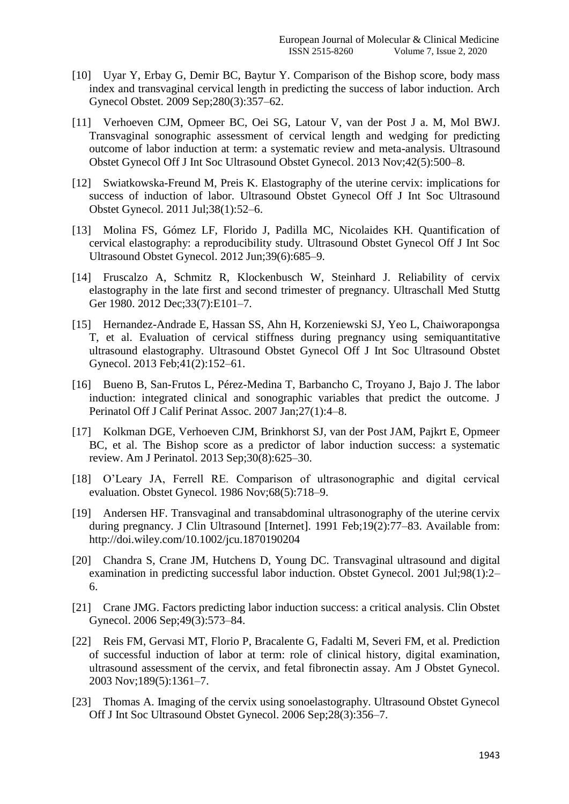- [10] Uyar Y, Erbay G, Demir BC, Baytur Y. Comparison of the Bishop score, body mass index and transvaginal cervical length in predicting the success of labor induction. Arch Gynecol Obstet. 2009 Sep;280(3):357–62.
- [11] Verhoeven CJM, Opmeer BC, Oei SG, Latour V, van der Post J a. M, Mol BWJ. Transvaginal sonographic assessment of cervical length and wedging for predicting outcome of labor induction at term: a systematic review and meta-analysis. Ultrasound Obstet Gynecol Off J Int Soc Ultrasound Obstet Gynecol. 2013 Nov;42(5):500–8.
- [12] Swiatkowska-Freund M, Preis K. Elastography of the uterine cervix: implications for success of induction of labor. Ultrasound Obstet Gynecol Off J Int Soc Ultrasound Obstet Gynecol. 2011 Jul;38(1):52–6.
- [13] Molina FS, Gómez LF, Florido J, Padilla MC, Nicolaides KH. Quantification of cervical elastography: a reproducibility study. Ultrasound Obstet Gynecol Off J Int Soc Ultrasound Obstet Gynecol. 2012 Jun;39(6):685–9.
- [14] Fruscalzo A, Schmitz R, Klockenbusch W, Steinhard J. Reliability of cervix elastography in the late first and second trimester of pregnancy. Ultraschall Med Stuttg Ger 1980. 2012 Dec;33(7):E101–7.
- [15] Hernandez-Andrade E, Hassan SS, Ahn H, Korzeniewski SJ, Yeo L, Chaiworapongsa T, et al. Evaluation of cervical stiffness during pregnancy using semiquantitative ultrasound elastography. Ultrasound Obstet Gynecol Off J Int Soc Ultrasound Obstet Gynecol. 2013 Feb;41(2):152–61.
- [16] Bueno B, San-Frutos L, Pérez-Medina T, Barbancho C, Troyano J, Bajo J. The labor induction: integrated clinical and sonographic variables that predict the outcome. J Perinatol Off J Calif Perinat Assoc. 2007 Jan;27(1):4–8.
- [17] Kolkman DGE, Verhoeven CJM, Brinkhorst SJ, van der Post JAM, Pajkrt E, Opmeer BC, et al. The Bishop score as a predictor of labor induction success: a systematic review. Am J Perinatol. 2013 Sep;30(8):625–30.
- [18] O'Leary JA, Ferrell RE. Comparison of ultrasonographic and digital cervical evaluation. Obstet Gynecol. 1986 Nov;68(5):718–9.
- [19] Andersen HF. Transvaginal and transabdominal ultrasonography of the uterine cervix during pregnancy. J Clin Ultrasound [Internet]. 1991 Feb;19(2):77–83. Available from: http://doi.wiley.com/10.1002/jcu.1870190204
- [20] Chandra S, Crane JM, Hutchens D, Young DC. Transvaginal ultrasound and digital examination in predicting successful labor induction. Obstet Gynecol. 2001 Jul;98(1):2– 6.
- [21] Crane JMG. Factors predicting labor induction success: a critical analysis. Clin Obstet Gynecol. 2006 Sep;49(3):573–84.
- [22] Reis FM, Gervasi MT, Florio P, Bracalente G, Fadalti M, Severi FM, et al. Prediction of successful induction of labor at term: role of clinical history, digital examination, ultrasound assessment of the cervix, and fetal fibronectin assay. Am J Obstet Gynecol. 2003 Nov;189(5):1361–7.
- [23] Thomas A. Imaging of the cervix using sonoelastography. Ultrasound Obstet Gynecol Off J Int Soc Ultrasound Obstet Gynecol. 2006 Sep;28(3):356–7.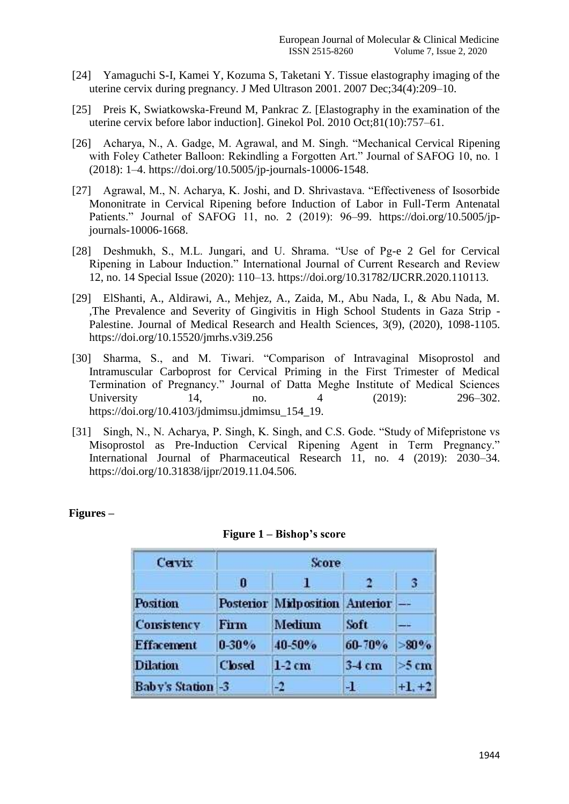- [24] Yamaguchi S-I, Kamei Y, Kozuma S, Taketani Y. Tissue elastography imaging of the uterine cervix during pregnancy. J Med Ultrason 2001. 2007 Dec;34(4):209–10.
- [25] Preis K, Swiatkowska-Freund M, Pankrac Z. [Elastography in the examination of the uterine cervix before labor induction]. Ginekol Pol. 2010 Oct;81(10):757–61.
- [26] Acharya, N., A. Gadge, M. Agrawal, and M. Singh. "Mechanical Cervical Ripening with Foley Catheter Balloon: Rekindling a Forgotten Art." Journal of SAFOG 10, no. 1 (2018): 1–4. https://doi.org/10.5005/jp-journals-10006-1548.
- [27] Agrawal, M., N. Acharya, K. Joshi, and D. Shrivastava. "Effectiveness of Isosorbide Mononitrate in Cervical Ripening before Induction of Labor in Full-Term Antenatal Patients." Journal of SAFOG 11, no. 2 (2019): 96–99. https://doi.org/10.5005/jpjournals-10006-1668.
- [28] Deshmukh, S., M.L. Jungari, and U. Shrama. "Use of Pg-e 2 Gel for Cervical Ripening in Labour Induction." International Journal of Current Research and Review 12, no. 14 Special Issue (2020): 110–13. https://doi.org/10.31782/IJCRR.2020.110113.
- [29] ElShanti, A., Aldirawi, A., Mehjez, A., Zaida, M., Abu Nada, I., & Abu Nada, M. ,The Prevalence and Severity of Gingivitis in High School Students in Gaza Strip - Palestine. Journal of Medical Research and Health Sciences, 3(9), (2020), 1098-1105. https://doi.org/10.15520/jmrhs.v3i9.256
- [30] Sharma, S., and M. Tiwari. "Comparison of Intravaginal Misoprostol and Intramuscular Carboprost for Cervical Priming in the First Trimester of Medical Termination of Pregnancy." Journal of Datta Meghe Institute of Medical Sciences University 14, no. 4 (2019): 296–302. https://doi.org/10.4103/jdmimsu.jdmimsu\_154\_19.
- [31] Singh, N., N. Acharya, P. Singh, K. Singh, and C.S. Gode. "Study of Mifepristone vs Misoprostol as Pre-Induction Cervical Ripening Agent in Term Pregnancy." International Journal of Pharmaceutical Research 11, no. 4 (2019): 2030–34. https://doi.org/10.31838/ijpr/2019.11.04.506.

| Cervix                   | Score         |                                  |          |          |  |
|--------------------------|---------------|----------------------------------|----------|----------|--|
|                          | 0             | ы.                               |          | 3        |  |
| Position                 |               | Posterior Midposition Anterior - |          |          |  |
| <b>Consistency</b>       | <b>Firm</b>   | <b>Medium</b>                    | Soft     | —−       |  |
| <b>Effacement</b>        | $0 - 30%$     | 40-50%                           | 60-70%   | >80%     |  |
| <b>Dilation</b>          | <b>Closed</b> | $1-2$ cm                         | $3-4$ cm | $>5$ cm  |  |
| <b>Baby's Station -3</b> |               | -2                               | л        | $+1, +2$ |  |

## **Figures –**

|  | Figure 1 – Bishop's score |  |  |  |  |
|--|---------------------------|--|--|--|--|
|--|---------------------------|--|--|--|--|